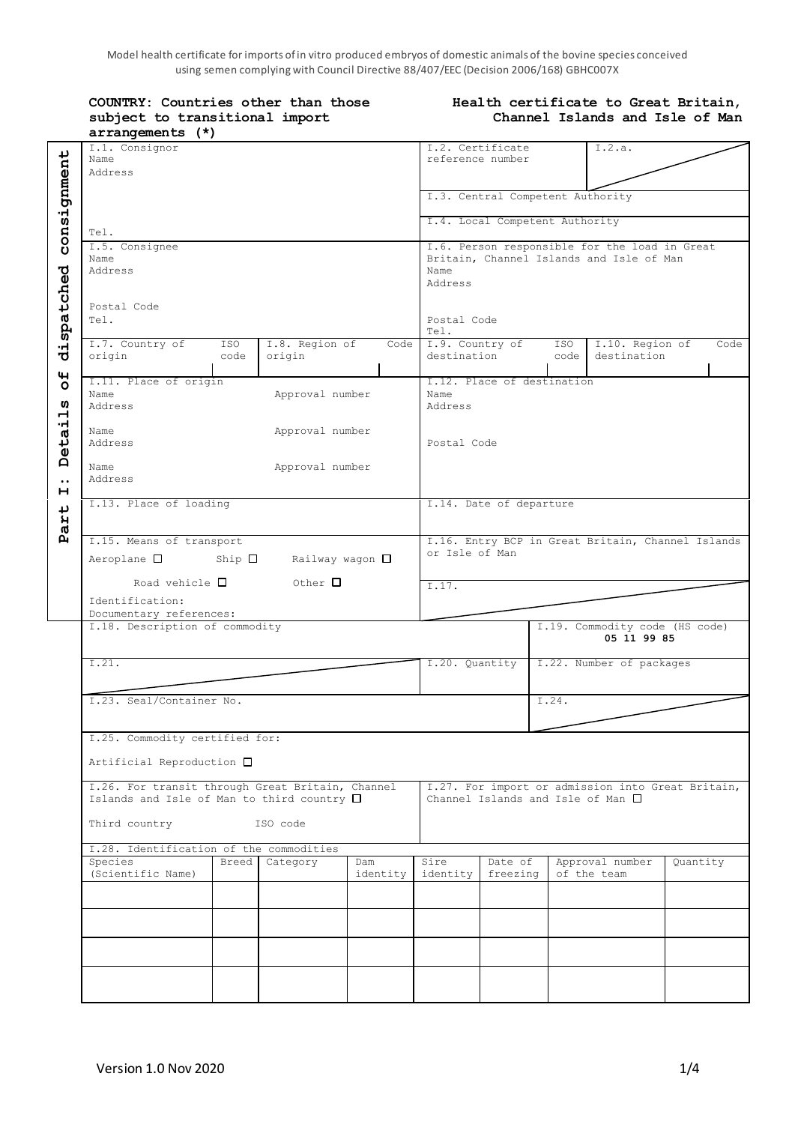Model health certificate for imports of in vitro produced embryos of domestic animals of the bovine species conceived using semen complying with Council Directive 88/407/EEC (Decision 2006/168) GBHC007X

| COUNTRY: Countries other than those<br>subject to transitional import<br>arrangements (*)                                                                                              |              |                 | Health certificate to Great Britain,<br>Channel Islands and Isle of Man                                                                                                            |                                      |                     |        |                                |             |                          |      |                                |  |             |                                               |  |      |
|----------------------------------------------------------------------------------------------------------------------------------------------------------------------------------------|--------------|-----------------|------------------------------------------------------------------------------------------------------------------------------------------------------------------------------------|--------------------------------------|---------------------|--------|--------------------------------|-------------|--------------------------|------|--------------------------------|--|-------------|-----------------------------------------------|--|------|
| I.1. Consignor<br>Name<br>Address<br>Tel.<br>I.5. Consignee<br>Name<br>Address                                                                                                         |              |                 |                                                                                                                                                                                    | I.2. Certificate<br>reference number |                     | I.2.a. |                                |             |                          |      |                                |  |             |                                               |  |      |
|                                                                                                                                                                                        |              |                 | I.3. Central Competent Authority<br>I.4. Local Competent Authority<br>I.6. Person responsible for the load in Great<br>Britain, Channel Islands and Isle of Man<br>Name<br>Address |                                      |                     |        |                                |             |                          |      |                                |  |             |                                               |  |      |
|                                                                                                                                                                                        |              |                 |                                                                                                                                                                                    |                                      |                     |        | Postal Code<br>Tel.            |             |                          |      | Postal Code<br>Tel.            |  |             |                                               |  |      |
|                                                                                                                                                                                        |              |                 |                                                                                                                                                                                    |                                      |                     |        | I.7. Country of<br>origin      | ISO<br>code | I.8. Region of<br>origin | Code | I.9. Country of<br>destination |  | ISO<br>code | I.10. Region of<br>destination                |  | Code |
| I.11. Place of origin<br>Name<br>Approval number<br>Address                                                                                                                            |              |                 | I.12. Place of destination<br>Name<br>Address                                                                                                                                      |                                      |                     |        |                                |             |                          |      |                                |  |             |                                               |  |      |
| Name<br>Approval number<br>Address                                                                                                                                                     |              |                 | Postal Code                                                                                                                                                                        |                                      |                     |        |                                |             |                          |      |                                |  |             |                                               |  |      |
| Name<br>Address                                                                                                                                                                        |              | Approval number |                                                                                                                                                                                    |                                      |                     |        |                                |             |                          |      |                                |  |             |                                               |  |      |
| I.13. Place of loading                                                                                                                                                                 |              |                 | I.14. Date of departure                                                                                                                                                            |                                      |                     |        |                                |             |                          |      |                                |  |             |                                               |  |      |
| I.15. Means of transport<br>Aeroplane $\square$ Ship $\square$ Railway wagon $\square$<br>Road vehicle $\square$<br>$\circ$ Other $\Box$<br>Identification:<br>Documentary references: |              |                 | I.16. Entry BCP in Great Britain, Channel Islands<br>or Isle of Man<br>I.17.                                                                                                       |                                      |                     |        |                                |             |                          |      |                                |  |             |                                               |  |      |
|                                                                                                                                                                                        |              |                 |                                                                                                                                                                                    |                                      |                     |        | I.18. Description of commodity |             |                          |      |                                |  |             | I.19. Commodity code (HS code)<br>05 11 99 85 |  |      |
| I.21.<br>I.23. Seal/Container No.                                                                                                                                                      |              |                 | I.20. Quantity   I.22. Number of packages                                                                                                                                          |                                      |                     |        |                                |             |                          |      |                                |  |             |                                               |  |      |
|                                                                                                                                                                                        |              |                 |                                                                                                                                                                                    |                                      | I.24.               |        |                                |             |                          |      |                                |  |             |                                               |  |      |
| I.25. Commodity certified for:                                                                                                                                                         |              |                 |                                                                                                                                                                                    |                                      |                     |        |                                |             |                          |      |                                |  |             |                                               |  |      |
| Artificial Reproduction □                                                                                                                                                              |              |                 |                                                                                                                                                                                    |                                      |                     |        |                                |             |                          |      |                                |  |             |                                               |  |      |
| I.26. For transit through Great Britain, Channel<br>Islands and Isle of Man to third country $\square$                                                                                 |              |                 | I.27. For import or admission into Great Britain,<br>Channel Islands and Isle of Man $\square$                                                                                     |                                      |                     |        |                                |             |                          |      |                                |  |             |                                               |  |      |
| Third country                                                                                                                                                                          |              | ISO code        |                                                                                                                                                                                    |                                      |                     |        |                                |             |                          |      |                                |  |             |                                               |  |      |
| I.28. Identification of the commodities<br>Species<br>(Scientific Name)                                                                                                                | <b>Breed</b> | Category        | Dam<br>identity                                                                                                                                                                    | Sire<br>identity                     | Date of<br>freezing |        | Approval number<br>of the team | Quantity    |                          |      |                                |  |             |                                               |  |      |
|                                                                                                                                                                                        |              |                 |                                                                                                                                                                                    |                                      |                     |        |                                |             |                          |      |                                |  |             |                                               |  |      |
|                                                                                                                                                                                        |              |                 |                                                                                                                                                                                    |                                      |                     |        |                                |             |                          |      |                                |  |             |                                               |  |      |
|                                                                                                                                                                                        |              |                 |                                                                                                                                                                                    |                                      |                     |        |                                |             |                          |      |                                |  |             |                                               |  |      |
|                                                                                                                                                                                        |              |                 |                                                                                                                                                                                    |                                      |                     |        |                                |             |                          |      |                                |  |             |                                               |  |      |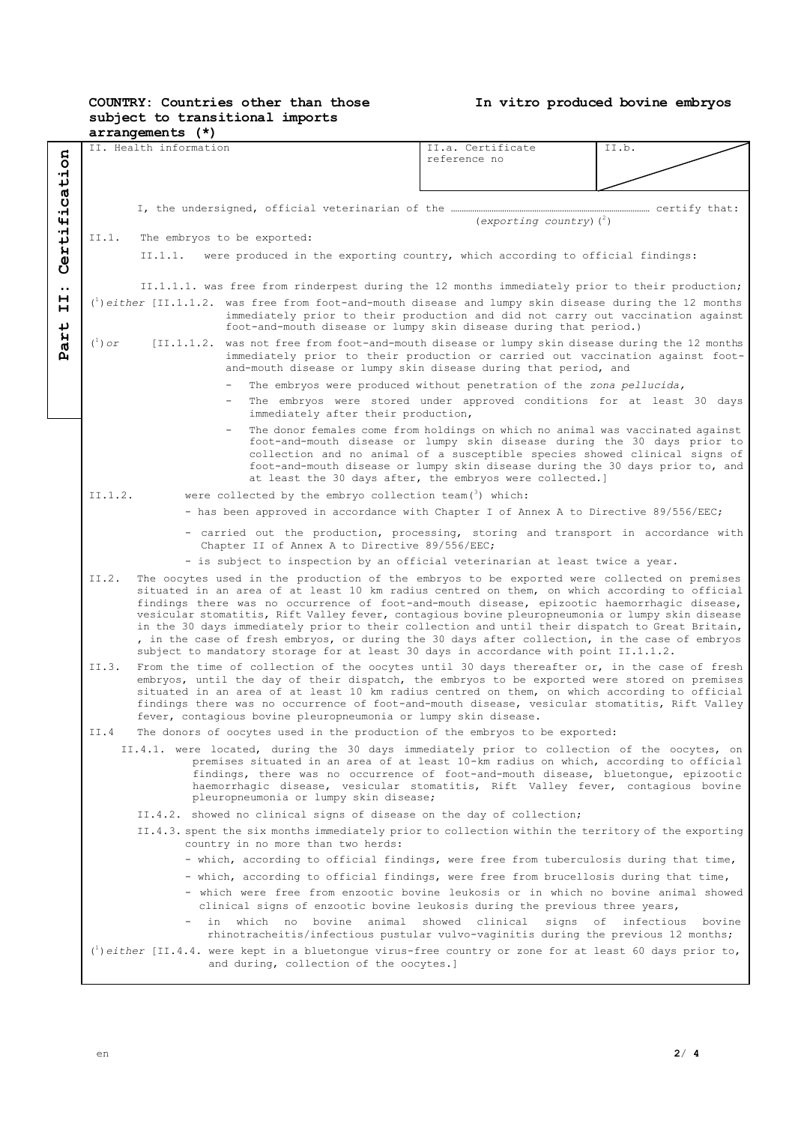## **COUNTRY: Countries other than those subject to transitional imports**

**In vitro produced bovine embryos**

|                        |                                                                                                                                                                                                                                                                                                                                                                                                                                                                                                                                                                                              | $arrangements (*)$                                                                    |                                                                                                                                                                                               |                                                                                                                                                        |                   |  |
|------------------------|----------------------------------------------------------------------------------------------------------------------------------------------------------------------------------------------------------------------------------------------------------------------------------------------------------------------------------------------------------------------------------------------------------------------------------------------------------------------------------------------------------------------------------------------------------------------------------------------|---------------------------------------------------------------------------------------|-----------------------------------------------------------------------------------------------------------------------------------------------------------------------------------------------|--------------------------------------------------------------------------------------------------------------------------------------------------------|-------------------|--|
|                        |                                                                                                                                                                                                                                                                                                                                                                                                                                                                                                                                                                                              | IT. Health information                                                                |                                                                                                                                                                                               | II.a. Certificate                                                                                                                                      | II.b.             |  |
| ertification           |                                                                                                                                                                                                                                                                                                                                                                                                                                                                                                                                                                                              |                                                                                       |                                                                                                                                                                                               | reference no                                                                                                                                           |                   |  |
|                        |                                                                                                                                                                                                                                                                                                                                                                                                                                                                                                                                                                                              |                                                                                       |                                                                                                                                                                                               |                                                                                                                                                        |                   |  |
|                        |                                                                                                                                                                                                                                                                                                                                                                                                                                                                                                                                                                                              |                                                                                       |                                                                                                                                                                                               |                                                                                                                                                        |                   |  |
|                        |                                                                                                                                                                                                                                                                                                                                                                                                                                                                                                                                                                                              |                                                                                       |                                                                                                                                                                                               | (exporting country) $(^2)$                                                                                                                             |                   |  |
|                        |                                                                                                                                                                                                                                                                                                                                                                                                                                                                                                                                                                                              |                                                                                       |                                                                                                                                                                                               |                                                                                                                                                        |                   |  |
|                        | II.1.<br>The embryos to be exported:                                                                                                                                                                                                                                                                                                                                                                                                                                                                                                                                                         |                                                                                       |                                                                                                                                                                                               |                                                                                                                                                        |                   |  |
| ပ                      |                                                                                                                                                                                                                                                                                                                                                                                                                                                                                                                                                                                              | II.1.1. were produced in the exporting country, which according to official findings: |                                                                                                                                                                                               |                                                                                                                                                        |                   |  |
|                        |                                                                                                                                                                                                                                                                                                                                                                                                                                                                                                                                                                                              |                                                                                       | II.1.1.1. was free from rinderpest during the 12 months immediately prior to their production;                                                                                                |                                                                                                                                                        |                   |  |
| $\bullet \bullet$<br>н |                                                                                                                                                                                                                                                                                                                                                                                                                                                                                                                                                                                              |                                                                                       | ( $^{\circ}$ ) either [II.1.1.2. was free from foot-and-mouth disease and lumpy skin disease during the 12 months                                                                             |                                                                                                                                                        |                   |  |
| н                      |                                                                                                                                                                                                                                                                                                                                                                                                                                                                                                                                                                                              |                                                                                       | immediately prior to their production and did not carry out vaccination against                                                                                                               |                                                                                                                                                        |                   |  |
| ↵                      |                                                                                                                                                                                                                                                                                                                                                                                                                                                                                                                                                                                              |                                                                                       | foot-and-mouth disease or lumpy skin disease during that period.)                                                                                                                             |                                                                                                                                                        |                   |  |
| Η                      | $(^1)$ or<br>[II.1.1.2. was not free from foot-and-mouth disease or lumpy skin disease during the 12 months<br>immediately prior to their production or carried out vaccination against foot-<br>and-mouth disease or lumpy skin disease during that period, and                                                                                                                                                                                                                                                                                                                             |                                                                                       |                                                                                                                                                                                               |                                                                                                                                                        |                   |  |
| $\mathbf{p}$           |                                                                                                                                                                                                                                                                                                                                                                                                                                                                                                                                                                                              |                                                                                       |                                                                                                                                                                                               |                                                                                                                                                        |                   |  |
|                        | The embryos were produced without penetration of the zona pellucida,<br>The embryos were stored under approved conditions for at least 30 days<br>immediately after their production,                                                                                                                                                                                                                                                                                                                                                                                                        |                                                                                       |                                                                                                                                                                                               |                                                                                                                                                        |                   |  |
|                        |                                                                                                                                                                                                                                                                                                                                                                                                                                                                                                                                                                                              |                                                                                       |                                                                                                                                                                                               |                                                                                                                                                        |                   |  |
|                        |                                                                                                                                                                                                                                                                                                                                                                                                                                                                                                                                                                                              |                                                                                       |                                                                                                                                                                                               | The donor females come from holdings on which no animal was vaccinated against                                                                         |                   |  |
|                        |                                                                                                                                                                                                                                                                                                                                                                                                                                                                                                                                                                                              |                                                                                       |                                                                                                                                                                                               | foot-and-mouth disease or lumpy skin disease during the 30 days prior to<br>collection and no animal of a susceptible species showed clinical signs of |                   |  |
|                        |                                                                                                                                                                                                                                                                                                                                                                                                                                                                                                                                                                                              |                                                                                       |                                                                                                                                                                                               | foot-and-mouth disease or lumpy skin disease during the 30 days prior to, and                                                                          |                   |  |
|                        |                                                                                                                                                                                                                                                                                                                                                                                                                                                                                                                                                                                              |                                                                                       |                                                                                                                                                                                               | at least the 30 days after, the embryos were collected.]                                                                                               |                   |  |
|                        | II.1.2.                                                                                                                                                                                                                                                                                                                                                                                                                                                                                                                                                                                      |                                                                                       | were collected by the embryo collection team $(3)$ which:                                                                                                                                     |                                                                                                                                                        |                   |  |
|                        |                                                                                                                                                                                                                                                                                                                                                                                                                                                                                                                                                                                              |                                                                                       | - has been approved in accordance with Chapter I of Annex A to Directive 89/556/EEC;                                                                                                          |                                                                                                                                                        |                   |  |
|                        |                                                                                                                                                                                                                                                                                                                                                                                                                                                                                                                                                                                              |                                                                                       | - carried out the production, processing, storing and transport in accordance with<br>Chapter II of Annex A to Directive 89/556/EEC;                                                          |                                                                                                                                                        |                   |  |
|                        |                                                                                                                                                                                                                                                                                                                                                                                                                                                                                                                                                                                              |                                                                                       | - is subject to inspection by an official veterinarian at least twice a year.                                                                                                                 |                                                                                                                                                        |                   |  |
|                        | II.2.                                                                                                                                                                                                                                                                                                                                                                                                                                                                                                                                                                                        |                                                                                       | The oocytes used in the production of the embryos to be exported were collected on premises                                                                                                   |                                                                                                                                                        |                   |  |
|                        | situated in an area of at least 10 km radius centred on them, on which according to official<br>findings there was no occurrence of foot-and-mouth disease, epizootic haemorrhagic disease,<br>vesicular stomatitis, Rift Valley fever, contagious bovine pleuropneumonia or lumpy skin disease<br>in the 30 days immediately prior to their collection and until their dispatch to Great Britain,<br>, in the case of fresh embryos, or during the 30 days after collection, in the case of embryos<br>subject to mandatory storage for at least 30 days in accordance with point II.1.1.2. |                                                                                       |                                                                                                                                                                                               |                                                                                                                                                        |                   |  |
|                        |                                                                                                                                                                                                                                                                                                                                                                                                                                                                                                                                                                                              |                                                                                       |                                                                                                                                                                                               |                                                                                                                                                        |                   |  |
|                        |                                                                                                                                                                                                                                                                                                                                                                                                                                                                                                                                                                                              |                                                                                       |                                                                                                                                                                                               |                                                                                                                                                        |                   |  |
|                        |                                                                                                                                                                                                                                                                                                                                                                                                                                                                                                                                                                                              |                                                                                       |                                                                                                                                                                                               |                                                                                                                                                        |                   |  |
|                        | II.3.                                                                                                                                                                                                                                                                                                                                                                                                                                                                                                                                                                                        |                                                                                       | From the time of collection of the oocytes until 30 days thereafter or, in the case of fresh                                                                                                  |                                                                                                                                                        |                   |  |
|                        |                                                                                                                                                                                                                                                                                                                                                                                                                                                                                                                                                                                              |                                                                                       | embryos, until the day of their dispatch, the embryos to be exported were stored on premises                                                                                                  |                                                                                                                                                        |                   |  |
|                        |                                                                                                                                                                                                                                                                                                                                                                                                                                                                                                                                                                                              |                                                                                       | situated in an area of at least 10 km radius centred on them, on which according to official<br>findings there was no occurrence of foot-and-mouth disease, vesicular stomatitis, Rift Valley |                                                                                                                                                        |                   |  |
|                        |                                                                                                                                                                                                                                                                                                                                                                                                                                                                                                                                                                                              |                                                                                       | fever, contagious bovine pleuropneumonia or lumpy skin disease.                                                                                                                               |                                                                                                                                                        |                   |  |
|                        | II.4                                                                                                                                                                                                                                                                                                                                                                                                                                                                                                                                                                                         |                                                                                       | The donors of oocytes used in the production of the embryos to be exported:                                                                                                                   |                                                                                                                                                        |                   |  |
|                        |                                                                                                                                                                                                                                                                                                                                                                                                                                                                                                                                                                                              |                                                                                       | II.4.1. were located, during the 30 days immediately prior to collection of the oocytes, on                                                                                                   |                                                                                                                                                        |                   |  |
|                        |                                                                                                                                                                                                                                                                                                                                                                                                                                                                                                                                                                                              |                                                                                       | premises situated in an area of at least 10-km radius on which, according to official                                                                                                         |                                                                                                                                                        |                   |  |
|                        |                                                                                                                                                                                                                                                                                                                                                                                                                                                                                                                                                                                              |                                                                                       | findings, there was no occurrence of foot-and-mouth disease, bluetongue, epizootic<br>haemorrhagic disease, vesicular stomatitis, Rift Valley fever, contagious bovine                        |                                                                                                                                                        |                   |  |
|                        |                                                                                                                                                                                                                                                                                                                                                                                                                                                                                                                                                                                              |                                                                                       | pleuropneumonia or lumpy skin disease;                                                                                                                                                        |                                                                                                                                                        |                   |  |
|                        |                                                                                                                                                                                                                                                                                                                                                                                                                                                                                                                                                                                              |                                                                                       | II.4.2. showed no clinical signs of disease on the day of collection;                                                                                                                         |                                                                                                                                                        |                   |  |
|                        |                                                                                                                                                                                                                                                                                                                                                                                                                                                                                                                                                                                              |                                                                                       | II.4.3. spent the six months immediately prior to collection within the territory of the exporting                                                                                            |                                                                                                                                                        |                   |  |
|                        |                                                                                                                                                                                                                                                                                                                                                                                                                                                                                                                                                                                              |                                                                                       | country in no more than two herds:                                                                                                                                                            |                                                                                                                                                        |                   |  |
|                        |                                                                                                                                                                                                                                                                                                                                                                                                                                                                                                                                                                                              |                                                                                       | - which, according to official findings, were free from tuberculosis during that time,                                                                                                        |                                                                                                                                                        |                   |  |
|                        |                                                                                                                                                                                                                                                                                                                                                                                                                                                                                                                                                                                              |                                                                                       | - which, according to official findings, were free from brucellosis during that time,                                                                                                         |                                                                                                                                                        |                   |  |
|                        |                                                                                                                                                                                                                                                                                                                                                                                                                                                                                                                                                                                              |                                                                                       | - which were free from enzootic bovine leukosis or in which no bovine animal showed<br>clinical signs of enzootic bovine leukosis during the previous three years,                            |                                                                                                                                                        |                   |  |
|                        |                                                                                                                                                                                                                                                                                                                                                                                                                                                                                                                                                                                              |                                                                                       | - in which no<br>rhinotracheitis/infectious pustular vulvo-vaginitis during the previous 12 months;                                                                                           | bovine animal showed clinical<br>signs of                                                                                                              | infectious bovine |  |
|                        |                                                                                                                                                                                                                                                                                                                                                                                                                                                                                                                                                                                              |                                                                                       | $(1)$ either [II.4.4. were kept in a bluetongue virus-free country or zone for at least 60 days prior to,                                                                                     |                                                                                                                                                        |                   |  |
|                        |                                                                                                                                                                                                                                                                                                                                                                                                                                                                                                                                                                                              |                                                                                       | and during, collection of the oocytes.]                                                                                                                                                       |                                                                                                                                                        |                   |  |
|                        |                                                                                                                                                                                                                                                                                                                                                                                                                                                                                                                                                                                              |                                                                                       |                                                                                                                                                                                               |                                                                                                                                                        |                   |  |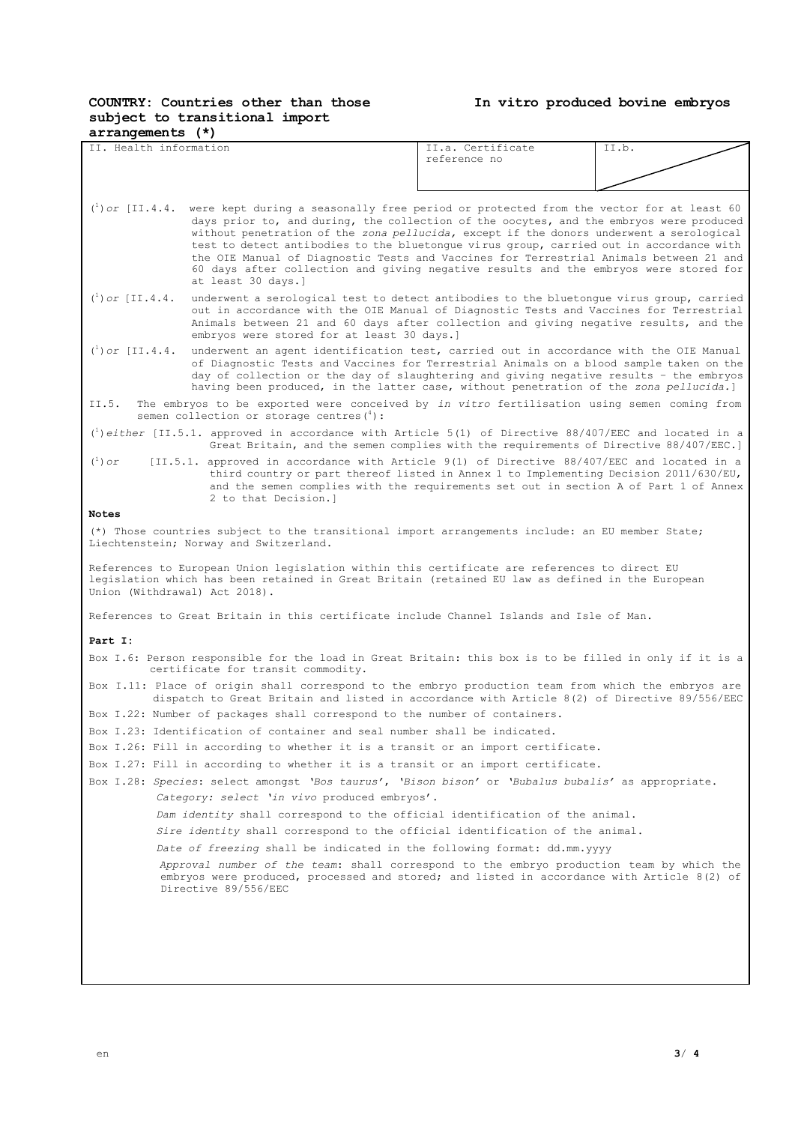## **COUNTRY: Countries other than those subject to transitional import**

## **In vitro produced bovine embryos**

| $arrangements (*)$                                                                                                                                                                                                                                                                                                                                                                                                                                                                                                                                                                                     |                                                                                                                                                                                                                                                                                                                                                                     |                                   |       |  |  |  |
|--------------------------------------------------------------------------------------------------------------------------------------------------------------------------------------------------------------------------------------------------------------------------------------------------------------------------------------------------------------------------------------------------------------------------------------------------------------------------------------------------------------------------------------------------------------------------------------------------------|---------------------------------------------------------------------------------------------------------------------------------------------------------------------------------------------------------------------------------------------------------------------------------------------------------------------------------------------------------------------|-----------------------------------|-------|--|--|--|
| II. Health information                                                                                                                                                                                                                                                                                                                                                                                                                                                                                                                                                                                 |                                                                                                                                                                                                                                                                                                                                                                     | II.a. Certificate<br>reference no | II.b. |  |  |  |
|                                                                                                                                                                                                                                                                                                                                                                                                                                                                                                                                                                                                        |                                                                                                                                                                                                                                                                                                                                                                     |                                   |       |  |  |  |
|                                                                                                                                                                                                                                                                                                                                                                                                                                                                                                                                                                                                        |                                                                                                                                                                                                                                                                                                                                                                     |                                   |       |  |  |  |
| $({}^{1})$ or [II.4.4. were kept during a seasonally free period or protected from the vector for at least 60<br>days prior to, and during, the collection of the oocytes, and the embryos were produced<br>without penetration of the zona pellucida, except if the donors underwent a serological<br>test to detect antibodies to the bluetongue virus group, carried out in accordance with<br>the OIE Manual of Diagnostic Tests and Vaccines for Terrestrial Animals between 21 and<br>60 days after collection and giving negative results and the embryos were stored for<br>at least 30 days.] |                                                                                                                                                                                                                                                                                                                                                                     |                                   |       |  |  |  |
| $({}^{1})$ or [II.4.4.                                                                                                                                                                                                                                                                                                                                                                                                                                                                                                                                                                                 | underwent a serological test to detect antibodies to the bluetongue virus group, carried<br>out in accordance with the OIE Manual of Diagnostic Tests and Vaccines for Terrestrial<br>Animals between 21 and 60 days after collection and giving negative results, and the<br>embryos were stored for at least 30 days.]                                            |                                   |       |  |  |  |
| $\binom{1}{1}$ or [II.4.4.                                                                                                                                                                                                                                                                                                                                                                                                                                                                                                                                                                             | underwent an agent identification test, carried out in accordance with the OIE Manual<br>of Diagnostic Tests and Vaccines for Terrestrial Animals on a blood sample taken on the<br>day of collection or the day of slaughtering and giving negative results - the embryos<br>having been produced, in the latter case, without penetration of the zona pellucida.] |                                   |       |  |  |  |
| II.5.                                                                                                                                                                                                                                                                                                                                                                                                                                                                                                                                                                                                  | The embryos to be exported were conceived by in vitro fertilisation using semen coming from<br>semen collection or storage centres $(^4)$ :                                                                                                                                                                                                                         |                                   |       |  |  |  |
|                                                                                                                                                                                                                                                                                                                                                                                                                                                                                                                                                                                                        | $\binom{1}{1}$ either [II.5.1. approved in accordance with Article 5(1) of Directive 88/407/EEC and located in a<br>Great Britain, and the semen complies with the requirements of Directive 88/407/EEC.]                                                                                                                                                           |                                   |       |  |  |  |
| $(^1)$ or<br>[II.5.1. approved in accordance with Article 9(1) of Directive 88/407/EEC and located in a<br>third country or part thereof listed in Annex 1 to Implementing Decision 2011/630/EU,<br>and the semen complies with the requirements set out in section A of Part 1 of Annex<br>2 to that Decision.]                                                                                                                                                                                                                                                                                       |                                                                                                                                                                                                                                                                                                                                                                     |                                   |       |  |  |  |
| <b>Notes</b>                                                                                                                                                                                                                                                                                                                                                                                                                                                                                                                                                                                           |                                                                                                                                                                                                                                                                                                                                                                     |                                   |       |  |  |  |
|                                                                                                                                                                                                                                                                                                                                                                                                                                                                                                                                                                                                        | (*) Those countries subject to the transitional import arrangements include: an EU member State;<br>Liechtenstein; Norway and Switzerland.                                                                                                                                                                                                                          |                                   |       |  |  |  |
| References to European Union legislation within this certificate are references to direct EU<br>legislation which has been retained in Great Britain (retained EU law as defined in the European<br>Union (Withdrawal) Act 2018).                                                                                                                                                                                                                                                                                                                                                                      |                                                                                                                                                                                                                                                                                                                                                                     |                                   |       |  |  |  |
| References to Great Britain in this certificate include Channel Islands and Isle of Man.                                                                                                                                                                                                                                                                                                                                                                                                                                                                                                               |                                                                                                                                                                                                                                                                                                                                                                     |                                   |       |  |  |  |
| Part I:                                                                                                                                                                                                                                                                                                                                                                                                                                                                                                                                                                                                |                                                                                                                                                                                                                                                                                                                                                                     |                                   |       |  |  |  |
| Box I.6: Person responsible for the load in Great Britain: this box is to be filled in only if it is a<br>certificate for transit commodity.                                                                                                                                                                                                                                                                                                                                                                                                                                                           |                                                                                                                                                                                                                                                                                                                                                                     |                                   |       |  |  |  |
| Box I.11: Place of origin shall correspond to the embryo production team from which the embryos are<br>dispatch to Great Britain and listed in accordance with Article 8(2) of Directive 89/556/EEC                                                                                                                                                                                                                                                                                                                                                                                                    |                                                                                                                                                                                                                                                                                                                                                                     |                                   |       |  |  |  |
|                                                                                                                                                                                                                                                                                                                                                                                                                                                                                                                                                                                                        | Box I.22: Number of packages shall correspond to the number of containers.                                                                                                                                                                                                                                                                                          |                                   |       |  |  |  |
| Box I.23: Identification of container and seal number shall be indicated.                                                                                                                                                                                                                                                                                                                                                                                                                                                                                                                              |                                                                                                                                                                                                                                                                                                                                                                     |                                   |       |  |  |  |
| Box I.26: Fill in according to whether it is a transit or an import certificate.                                                                                                                                                                                                                                                                                                                                                                                                                                                                                                                       |                                                                                                                                                                                                                                                                                                                                                                     |                                   |       |  |  |  |
|                                                                                                                                                                                                                                                                                                                                                                                                                                                                                                                                                                                                        | Box I.27: Fill in according to whether it is a transit or an import certificate.                                                                                                                                                                                                                                                                                    |                                   |       |  |  |  |
|                                                                                                                                                                                                                                                                                                                                                                                                                                                                                                                                                                                                        | Box I.28: Species: select amongst 'Bos taurus', 'Bison bison' or 'Bubalus bubalis' as appropriate.                                                                                                                                                                                                                                                                  |                                   |       |  |  |  |
|                                                                                                                                                                                                                                                                                                                                                                                                                                                                                                                                                                                                        | Category: select 'in vivo produced embryos'.                                                                                                                                                                                                                                                                                                                        |                                   |       |  |  |  |
|                                                                                                                                                                                                                                                                                                                                                                                                                                                                                                                                                                                                        | Dam identity shall correspond to the official identification of the animal.                                                                                                                                                                                                                                                                                         |                                   |       |  |  |  |
|                                                                                                                                                                                                                                                                                                                                                                                                                                                                                                                                                                                                        | Sire identity shall correspond to the official identification of the animal.                                                                                                                                                                                                                                                                                        |                                   |       |  |  |  |
|                                                                                                                                                                                                                                                                                                                                                                                                                                                                                                                                                                                                        | Date of freezing shall be indicated in the following format: dd.mm.yyyy                                                                                                                                                                                                                                                                                             |                                   |       |  |  |  |
|                                                                                                                                                                                                                                                                                                                                                                                                                                                                                                                                                                                                        | Approval number of the team: shall correspond to the embryo production team by which the<br>embryos were produced, processed and stored; and listed in accordance with Article 8(2) of<br>Directive 89/556/EEC                                                                                                                                                      |                                   |       |  |  |  |
|                                                                                                                                                                                                                                                                                                                                                                                                                                                                                                                                                                                                        |                                                                                                                                                                                                                                                                                                                                                                     |                                   |       |  |  |  |